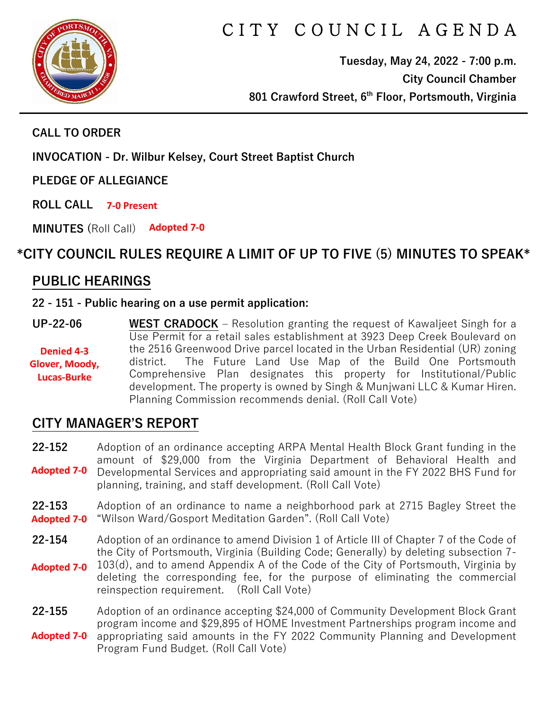

# C I T Y C O U N C I L A G E N D A

**Tuesday, May 24, 2022 - 7:00 p.m. City Council Chamber 801 Crawford Street, 6th Floor, Portsmouth, Virginia**

#### **CALL TO ORDER**

**INVOCATION - Dr. Wilbur Kelsey, Court Street Baptist Church**

**PLEDGE OF ALLEGIANCE** 

**ROLL CALL 7-0 Present**

**MINUTES (**Roll Call) **Adopted 7-0**

## **\*CITY COUNCIL RULES REQUIRE A LIMIT OF UP TO FIVE (5) MINUTES TO SPEAK\***

### **PUBLIC HEARINGS**

#### **22 - 151 - Public hearing on a use permit application:**

**UP-22-06 WEST CRADOCK** – Resolution granting the request of Kawaljeet Singh for a Use Permit for a retail sales establishment at 3923 Deep Creek Boulevard on the 2516 Greenwood Drive parcel located in the Urban Residential (UR) zoning district. The Future Land Use Map of the Build One Portsmouth Comprehensive Plan designates this property for Institutional/Public development. The property is owned by Singh & Munjwani LLC & Kumar Hiren. Planning Commission recommends denial. (Roll Call Vote) **Denied 4-3 Glover, Moody, Lucas-Burke**

### **CITY MANAGER'S REPORT**

**22-152** Adoption of an ordinance accepting ARPA Mental Health Block Grant funding in the amount of \$29,000 from the Virginia Department of Behavioral Health and Developmental Services and appropriating said amount in the FY 2022 BHS Fund for planning, training, and staff development. (Roll Call Vote) **Adopted 7-0**

- **22-153** Adoption of an ordinance to name a neighborhood park at 2715 Bagley Street the "Wilson Ward/Gosport Meditation Garden". (Roll Call Vote) **Adopted 7-0**
- **22-154** Adoption of an ordinance to amend Division 1 of Article III of Chapter 7 of the Code of the City of Portsmouth, Virginia (Building Code; Generally) by deleting subsection 7-
- 103(d), and to amend Appendix A of the Code of the City of Portsmouth, Virginia by deleting the corresponding fee, for the purpose of eliminating the commercial reinspection requirement. (Roll Call Vote) **Adopted 7-0**
- **22-155** Adoption of an ordinance accepting \$24,000 of Community Development Block Grant program income and \$29,895 of HOME Investment Partnerships program income and appropriating said amounts in the FY 2022 Community Planning and Development Program Fund Budget. (Roll Call Vote) **Adopted 7-0**